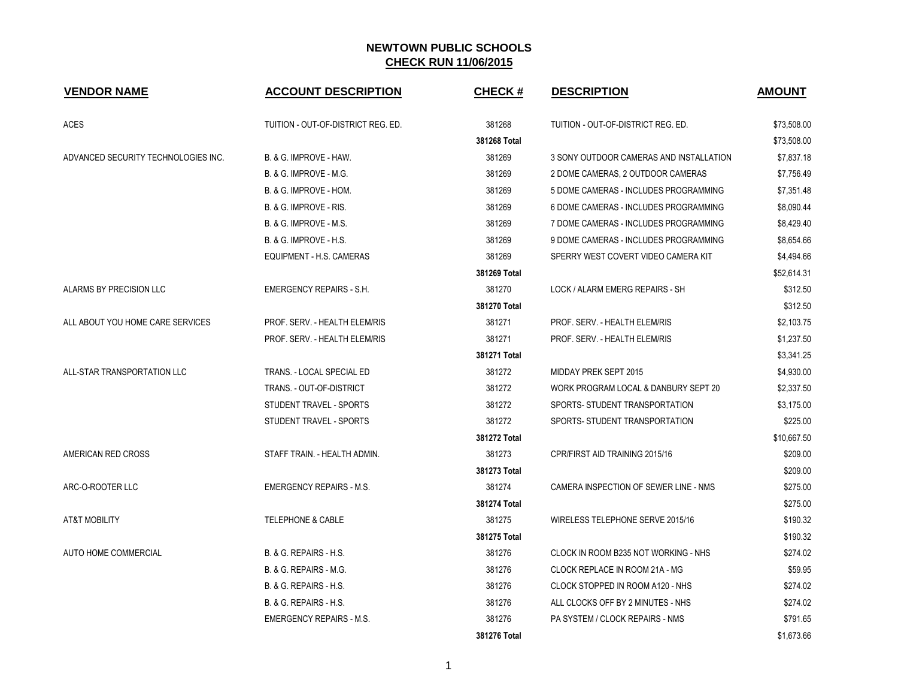| <b>VENDOR NAME</b>                  | <b>ACCOUNT DESCRIPTION</b>         | <b>CHECK#</b> | <b>DESCRIPTION</b>                      | <b>AMOUNT</b> |
|-------------------------------------|------------------------------------|---------------|-----------------------------------------|---------------|
| <b>ACES</b>                         | TUITION - OUT-OF-DISTRICT REG. ED. | 381268        | TUITION - OUT-OF-DISTRICT REG. ED.      | \$73,508.00   |
|                                     |                                    | 381268 Total  |                                         | \$73,508.00   |
| ADVANCED SECURITY TECHNOLOGIES INC. | B. & G. IMPROVE - HAW.             | 381269        | 3 SONY OUTDOOR CAMERAS AND INSTALLATION | \$7,837.18    |
|                                     | B. & G. IMPROVE - M.G.             | 381269        | 2 DOME CAMERAS, 2 OUTDOOR CAMERAS       | \$7,756.49    |
|                                     | B. & G. IMPROVE - HOM.             | 381269        | 5 DOME CAMERAS - INCLUDES PROGRAMMING   | \$7,351.48    |
|                                     | B. & G. IMPROVE - RIS.             | 381269        | 6 DOME CAMERAS - INCLUDES PROGRAMMING   | \$8,090.44    |
|                                     | <b>B. &amp; G. IMPROVE - M.S.</b>  | 381269        | 7 DOME CAMERAS - INCLUDES PROGRAMMING   | \$8,429.40    |
|                                     | <b>B. &amp; G. IMPROVE - H.S.</b>  | 381269        | 9 DOME CAMERAS - INCLUDES PROGRAMMING   | \$8,654.66    |
|                                     | EQUIPMENT - H.S. CAMERAS           | 381269        | SPERRY WEST COVERT VIDEO CAMERA KIT     | \$4,494.66    |
|                                     |                                    | 381269 Total  |                                         | \$52,614.31   |
| ALARMS BY PRECISION LLC             | <b>EMERGENCY REPAIRS - S.H.</b>    | 381270        | LOCK / ALARM EMERG REPAIRS - SH         | \$312.50      |
|                                     |                                    | 381270 Total  |                                         | \$312.50      |
| ALL ABOUT YOU HOME CARE SERVICES    | PROF. SERV. - HEALTH ELEM/RIS      | 381271        | PROF. SERV. - HEALTH ELEM/RIS           | \$2,103.75    |
|                                     | PROF. SERV. - HEALTH ELEM/RIS      | 381271        | PROF. SERV. - HEALTH ELEM/RIS           | \$1,237.50    |
|                                     |                                    | 381271 Total  |                                         | \$3,341.25    |
| ALL-STAR TRANSPORTATION LLC         | TRANS. - LOCAL SPECIAL ED          | 381272        | MIDDAY PREK SEPT 2015                   | \$4,930.00    |
|                                     | TRANS. - OUT-OF-DISTRICT           | 381272        | WORK PROGRAM LOCAL & DANBURY SEPT 20    | \$2,337.50    |
|                                     | STUDENT TRAVEL - SPORTS            | 381272        | SPORTS- STUDENT TRANSPORTATION          | \$3,175.00    |
|                                     | STUDENT TRAVEL - SPORTS            | 381272        | SPORTS- STUDENT TRANSPORTATION          | \$225.00      |
|                                     |                                    | 381272 Total  |                                         | \$10,667.50   |
| AMERICAN RED CROSS                  | STAFF TRAIN. - HEALTH ADMIN.       | 381273        | CPR/FIRST AID TRAINING 2015/16          | \$209.00      |
|                                     |                                    | 381273 Total  |                                         | \$209.00      |
| ARC-O-ROOTER LLC                    | <b>EMERGENCY REPAIRS - M.S.</b>    | 381274        | CAMERA INSPECTION OF SEWER LINE - NMS   | \$275.00      |
|                                     |                                    | 381274 Total  |                                         | \$275.00      |
| AT&T MOBILITY                       | <b>TELEPHONE &amp; CABLE</b>       | 381275        | WIRELESS TELEPHONE SERVE 2015/16        | \$190.32      |
|                                     |                                    | 381275 Total  |                                         | \$190.32      |
| AUTO HOME COMMERCIAL                | <b>B. &amp; G. REPAIRS - H.S.</b>  | 381276        | CLOCK IN ROOM B235 NOT WORKING - NHS    | \$274.02      |
|                                     | B. & G. REPAIRS - M.G.             | 381276        | CLOCK REPLACE IN ROOM 21A - MG          | \$59.95       |
|                                     | B. & G. REPAIRS - H.S.             | 381276        | CLOCK STOPPED IN ROOM A120 - NHS        | \$274.02      |
|                                     | B. & G. REPAIRS - H.S.             | 381276        | ALL CLOCKS OFF BY 2 MINUTES - NHS       | \$274.02      |
|                                     | <b>EMERGENCY REPAIRS - M.S.</b>    | 381276        | PA SYSTEM / CLOCK REPAIRS - NMS         | \$791.65      |
|                                     |                                    | 381276 Total  |                                         | \$1,673.66    |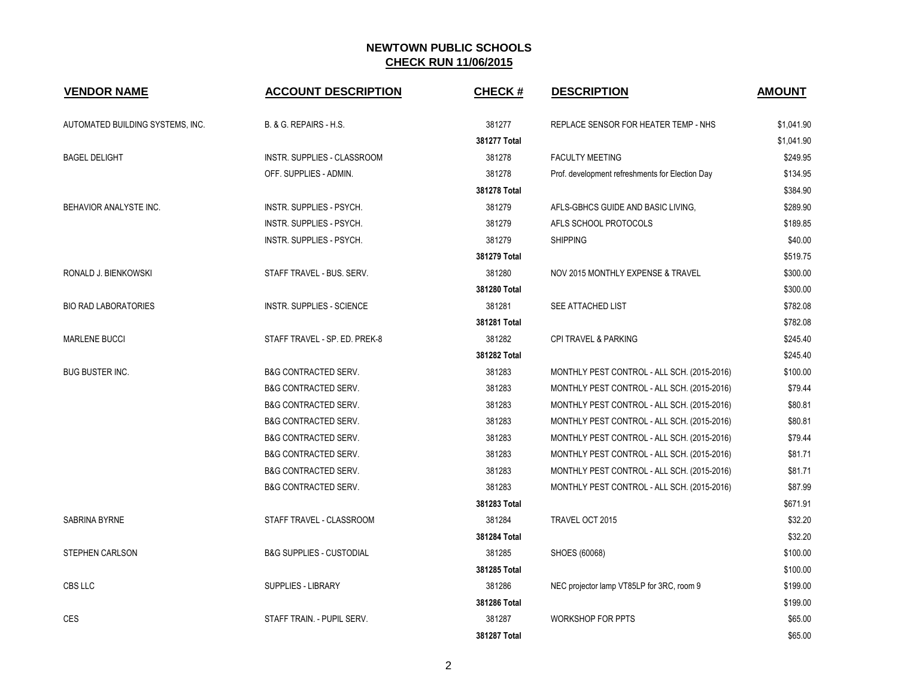| <b>VENDOR NAME</b>               | <b>ACCOUNT DESCRIPTION</b>          | <b>CHECK#</b> | <b>DESCRIPTION</b>                              | <b>AMOUNT</b> |
|----------------------------------|-------------------------------------|---------------|-------------------------------------------------|---------------|
| AUTOMATED BUILDING SYSTEMS, INC. | B. & G. REPAIRS - H.S.              | 381277        | REPLACE SENSOR FOR HEATER TEMP - NHS            | \$1,041.90    |
|                                  |                                     | 381277 Total  |                                                 | \$1,041.90    |
| <b>BAGEL DELIGHT</b>             | INSTR. SUPPLIES - CLASSROOM         | 381278        | <b>FACULTY MEETING</b>                          | \$249.95      |
|                                  | OFF. SUPPLIES - ADMIN.              | 381278        | Prof. development refreshments for Election Day | \$134.95      |
|                                  |                                     | 381278 Total  |                                                 | \$384.90      |
| BEHAVIOR ANALYSTE INC.           | <b>INSTR. SUPPLIES - PSYCH.</b>     | 381279        | AFLS-GBHCS GUIDE AND BASIC LIVING,              | \$289.90      |
|                                  | INSTR. SUPPLIES - PSYCH.            | 381279        | AFLS SCHOOL PROTOCOLS                           | \$189.85      |
|                                  | INSTR. SUPPLIES - PSYCH.            | 381279        | <b>SHIPPING</b>                                 | \$40.00       |
|                                  |                                     | 381279 Total  |                                                 | \$519.75      |
| RONALD J. BIENKOWSKI             | STAFF TRAVEL - BUS. SERV.           | 381280        | NOV 2015 MONTHLY EXPENSE & TRAVEL               | \$300.00      |
|                                  |                                     | 381280 Total  |                                                 | \$300.00      |
| <b>BIO RAD LABORATORIES</b>      | INSTR. SUPPLIES - SCIENCE           | 381281        | SEE ATTACHED LIST                               | \$782.08      |
|                                  |                                     | 381281 Total  |                                                 | \$782.08      |
| <b>MARLENE BUCCI</b>             | STAFF TRAVEL - SP. ED. PREK-8       | 381282        | <b>CPI TRAVEL &amp; PARKING</b>                 | \$245.40      |
|                                  |                                     | 381282 Total  |                                                 | \$245.40      |
| <b>BUG BUSTER INC.</b>           | <b>B&amp;G CONTRACTED SERV.</b>     | 381283        | MONTHLY PEST CONTROL - ALL SCH. (2015-2016)     | \$100.00      |
|                                  | <b>B&amp;G CONTRACTED SERV.</b>     | 381283        | MONTHLY PEST CONTROL - ALL SCH. (2015-2016)     | \$79.44       |
|                                  | <b>B&amp;G CONTRACTED SERV.</b>     | 381283        | MONTHLY PEST CONTROL - ALL SCH. (2015-2016)     | \$80.81       |
|                                  | <b>B&amp;G CONTRACTED SERV.</b>     | 381283        | MONTHLY PEST CONTROL - ALL SCH. (2015-2016)     | \$80.81       |
|                                  | <b>B&amp;G CONTRACTED SERV.</b>     | 381283        | MONTHLY PEST CONTROL - ALL SCH. (2015-2016)     | \$79.44       |
|                                  | <b>B&amp;G CONTRACTED SERV.</b>     | 381283        | MONTHLY PEST CONTROL - ALL SCH. (2015-2016)     | \$81.71       |
|                                  | <b>B&amp;G CONTRACTED SERV.</b>     | 381283        | MONTHLY PEST CONTROL - ALL SCH. (2015-2016)     | \$81.71       |
|                                  | <b>B&amp;G CONTRACTED SERV.</b>     | 381283        | MONTHLY PEST CONTROL - ALL SCH. (2015-2016)     | \$87.99       |
|                                  |                                     | 381283 Total  |                                                 | \$671.91      |
| SABRINA BYRNE                    | STAFF TRAVEL - CLASSROOM            | 381284        | TRAVEL OCT 2015                                 | \$32.20       |
|                                  |                                     | 381284 Total  |                                                 | \$32.20       |
| <b>STEPHEN CARLSON</b>           | <b>B&amp;G SUPPLIES - CUSTODIAL</b> | 381285        | SHOES (60068)                                   | \$100.00      |
|                                  |                                     | 381285 Total  |                                                 | \$100.00      |
| CBS LLC                          | <b>SUPPLIES - LIBRARY</b>           | 381286        | NEC projector lamp VT85LP for 3RC, room 9       | \$199.00      |
|                                  |                                     | 381286 Total  |                                                 | \$199.00      |
| <b>CES</b>                       | STAFF TRAIN. - PUPIL SERV.          | 381287        | <b>WORKSHOP FOR PPTS</b>                        | \$65.00       |
|                                  |                                     | 381287 Total  |                                                 | \$65.00       |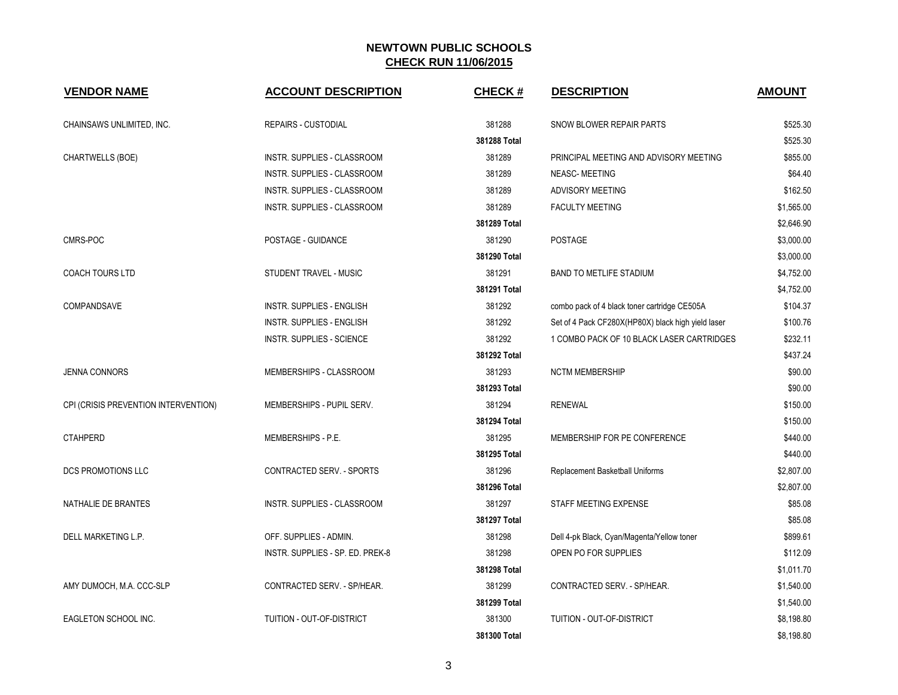| <b>VENDOR NAME</b>                   | <b>ACCOUNT DESCRIPTION</b>       | <b>CHECK#</b> | <b>DESCRIPTION</b>                                 | <b>AMOUNT</b> |
|--------------------------------------|----------------------------------|---------------|----------------------------------------------------|---------------|
| CHAINSAWS UNLIMITED, INC.            | REPAIRS - CUSTODIAL              | 381288        | SNOW BLOWER REPAIR PARTS                           | \$525.30      |
|                                      |                                  | 381288 Total  |                                                    | \$525.30      |
| CHARTWELLS (BOE)                     | INSTR. SUPPLIES - CLASSROOM      | 381289        | PRINCIPAL MEETING AND ADVISORY MEETING             | \$855.00      |
|                                      | INSTR. SUPPLIES - CLASSROOM      | 381289        | NEASC-MEETING                                      | \$64.40       |
|                                      | INSTR. SUPPLIES - CLASSROOM      | 381289        | ADVISORY MEETING                                   | \$162.50      |
|                                      | INSTR. SUPPLIES - CLASSROOM      | 381289        | <b>FACULTY MEETING</b>                             | \$1,565.00    |
|                                      |                                  | 381289 Total  |                                                    | \$2,646.90    |
| CMRS-POC                             | POSTAGE - GUIDANCE               | 381290        | POSTAGE                                            | \$3,000.00    |
|                                      |                                  | 381290 Total  |                                                    | \$3,000.00    |
| COACH TOURS LTD                      | STUDENT TRAVEL - MUSIC           | 381291        | <b>BAND TO METLIFE STADIUM</b>                     | \$4,752.00    |
|                                      |                                  | 381291 Total  |                                                    | \$4,752.00    |
| COMPANDSAVE                          | INSTR. SUPPLIES - ENGLISH        | 381292        | combo pack of 4 black toner cartridge CE505A       | \$104.37      |
|                                      | <b>INSTR. SUPPLIES - ENGLISH</b> | 381292        | Set of 4 Pack CF280X(HP80X) black high yield laser | \$100.76      |
|                                      | <b>INSTR. SUPPLIES - SCIENCE</b> | 381292        | 1 COMBO PACK OF 10 BLACK LASER CARTRIDGES          | \$232.11      |
|                                      |                                  | 381292 Total  |                                                    | \$437.24      |
| <b>JENNA CONNORS</b>                 | MEMBERSHIPS - CLASSROOM          | 381293        | <b>NCTM MEMBERSHIP</b>                             | \$90.00       |
|                                      |                                  | 381293 Total  |                                                    | \$90.00       |
| CPI (CRISIS PREVENTION INTERVENTION) | MEMBERSHIPS - PUPIL SERV.        | 381294        | <b>RENEWAL</b>                                     | \$150.00      |
|                                      |                                  | 381294 Total  |                                                    | \$150.00      |
| <b>CTAHPERD</b>                      | MEMBERSHIPS - P.E.               | 381295        | MEMBERSHIP FOR PE CONFERENCE                       | \$440.00      |
|                                      |                                  | 381295 Total  |                                                    | \$440.00      |
| DCS PROMOTIONS LLC                   | CONTRACTED SERV. - SPORTS        | 381296        | Replacement Basketball Uniforms                    | \$2,807.00    |
|                                      |                                  | 381296 Total  |                                                    | \$2,807.00    |
| NATHALIE DE BRANTES                  | INSTR. SUPPLIES - CLASSROOM      | 381297        | STAFF MEETING EXPENSE                              | \$85.08       |
|                                      |                                  | 381297 Total  |                                                    | \$85.08       |
| DELL MARKETING L.P.                  | OFF. SUPPLIES - ADMIN.           | 381298        | Dell 4-pk Black, Cyan/Magenta/Yellow toner         | \$899.61      |
|                                      | INSTR. SUPPLIES - SP. ED. PREK-8 | 381298        | OPEN PO FOR SUPPLIES                               | \$112.09      |
|                                      |                                  | 381298 Total  |                                                    | \$1,011.70    |
| AMY DUMOCH, M.A. CCC-SLP             | CONTRACTED SERV. - SP/HEAR.      | 381299        | CONTRACTED SERV. - SP/HEAR.                        | \$1,540.00    |
|                                      |                                  | 381299 Total  |                                                    | \$1,540.00    |
| EAGLETON SCHOOL INC.                 | TUITION - OUT-OF-DISTRICT        | 381300        | TUITION - OUT-OF-DISTRICT                          | \$8,198.80    |
|                                      |                                  | 381300 Total  |                                                    | \$8,198.80    |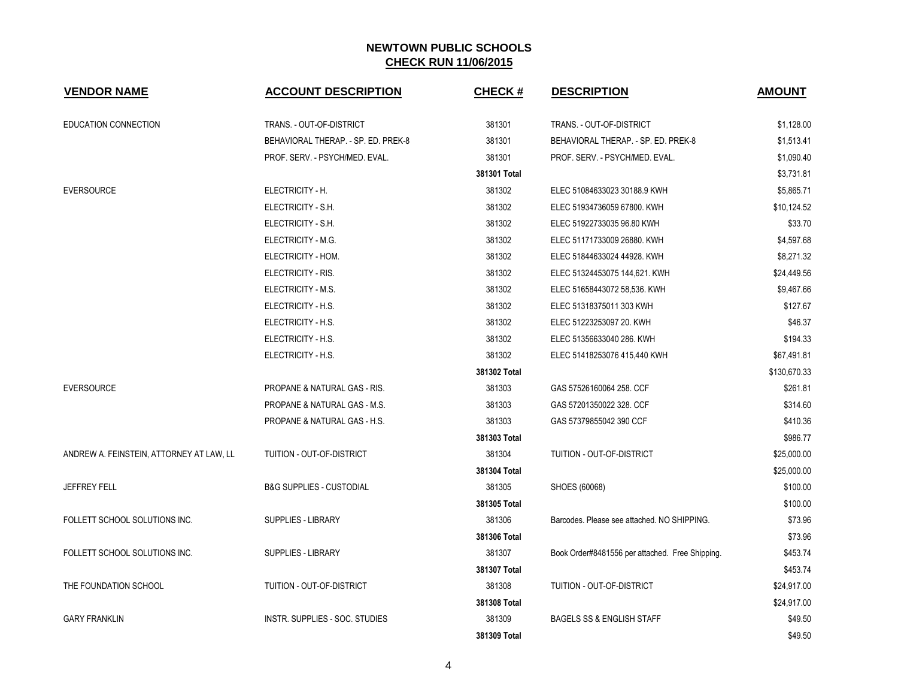| <b>VENDOR NAME</b>                       | <b>ACCOUNT DESCRIPTION</b>              | <b>CHECK#</b> | <b>DESCRIPTION</b>                              | <b>AMOUNT</b> |
|------------------------------------------|-----------------------------------------|---------------|-------------------------------------------------|---------------|
| EDUCATION CONNECTION                     | TRANS. - OUT-OF-DISTRICT                | 381301        | TRANS. - OUT-OF-DISTRICT                        | \$1,128.00    |
|                                          | BEHAVIORAL THERAP. - SP. ED. PREK-8     | 381301        | BEHAVIORAL THERAP. - SP. ED. PREK-8             | \$1,513.41    |
|                                          | PROF. SERV. - PSYCH/MED. EVAL.          | 381301        | PROF. SERV. - PSYCH/MED. EVAL.                  | \$1,090.40    |
|                                          |                                         | 381301 Total  |                                                 | \$3,731.81    |
| <b>EVERSOURCE</b>                        | ELECTRICITY - H.                        | 381302        | ELEC 51084633023 30188.9 KWH                    | \$5,865.71    |
|                                          | ELECTRICITY - S.H.                      | 381302        | ELEC 51934736059 67800. KWH                     | \$10,124.52   |
|                                          | ELECTRICITY - S.H.                      | 381302        | ELEC 51922733035 96.80 KWH                      | \$33.70       |
|                                          | ELECTRICITY - M.G.                      | 381302        | ELEC 51171733009 26880. KWH                     | \$4,597.68    |
|                                          | ELECTRICITY - HOM.                      | 381302        | ELEC 51844633024 44928. KWH                     | \$8,271.32    |
|                                          | ELECTRICITY - RIS.                      | 381302        | ELEC 51324453075 144,621. KWH                   | \$24,449.56   |
|                                          | ELECTRICITY - M.S.                      | 381302        | ELEC 51658443072 58,536. KWH                    | \$9,467.66    |
|                                          | ELECTRICITY - H.S.                      | 381302        | ELEC 51318375011 303 KWH                        | \$127.67      |
|                                          | ELECTRICITY - H.S.                      | 381302        | ELEC 51223253097 20. KWH                        | \$46.37       |
|                                          | ELECTRICITY - H.S.                      | 381302        | ELEC 51356633040 286. KWH                       | \$194.33      |
|                                          | ELECTRICITY - H.S.                      | 381302        | ELEC 51418253076 415,440 KWH                    | \$67,491.81   |
|                                          |                                         | 381302 Total  |                                                 | \$130,670.33  |
| <b>EVERSOURCE</b>                        | <b>PROPANE &amp; NATURAL GAS - RIS.</b> | 381303        | GAS 57526160064 258. CCF                        | \$261.81      |
|                                          | PROPANE & NATURAL GAS - M.S.            | 381303        | GAS 57201350022 328. CCF                        | \$314.60      |
|                                          | PROPANE & NATURAL GAS - H.S.            | 381303        | GAS 57379855042 390 CCF                         | \$410.36      |
|                                          |                                         | 381303 Total  |                                                 | \$986.77      |
| ANDREW A. FEINSTEIN, ATTORNEY AT LAW, LL | TUITION - OUT-OF-DISTRICT               | 381304        | TUITION - OUT-OF-DISTRICT                       | \$25,000.00   |
|                                          |                                         | 381304 Total  |                                                 | \$25,000.00   |
| <b>JEFFREY FELL</b>                      | <b>B&amp;G SUPPLIES - CUSTODIAL</b>     | 381305        | SHOES (60068)                                   | \$100.00      |
|                                          |                                         | 381305 Total  |                                                 | \$100.00      |
| FOLLETT SCHOOL SOLUTIONS INC.            | <b>SUPPLIES - LIBRARY</b>               | 381306        | Barcodes. Please see attached. NO SHIPPING.     | \$73.96       |
|                                          |                                         | 381306 Total  |                                                 | \$73.96       |
| FOLLETT SCHOOL SOLUTIONS INC.            | <b>SUPPLIES - LIBRARY</b>               | 381307        | Book Order#8481556 per attached. Free Shipping. | \$453.74      |
|                                          |                                         | 381307 Total  |                                                 | \$453.74      |
| THE FOUNDATION SCHOOL                    | TUITION - OUT-OF-DISTRICT               | 381308        | TUITION - OUT-OF-DISTRICT                       | \$24,917.00   |
|                                          |                                         | 381308 Total  |                                                 | \$24,917.00   |
| <b>GARY FRANKLIN</b>                     | INSTR. SUPPLIES - SOC. STUDIES          | 381309        | <b>BAGELS SS &amp; ENGLISH STAFF</b>            | \$49.50       |
|                                          |                                         | 381309 Total  |                                                 | \$49.50       |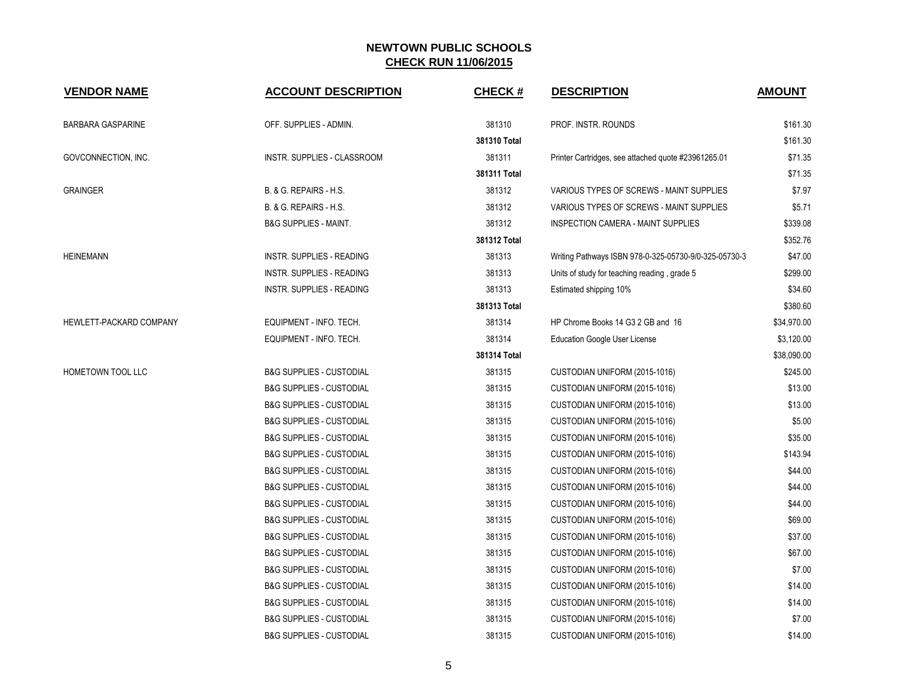| <b>VENDOR NAME</b>       | <b>ACCOUNT DESCRIPTION</b>          | <b>CHECK#</b> | <b>DESCRIPTION</b>                                    | <b>AMOUNT</b> |
|--------------------------|-------------------------------------|---------------|-------------------------------------------------------|---------------|
| <b>BARBARA GASPARINE</b> | OFF. SUPPLIES - ADMIN.              | 381310        | PROF. INSTR. ROUNDS                                   | \$161.30      |
|                          |                                     | 381310 Total  |                                                       | \$161.30      |
| GOVCONNECTION, INC.      | INSTR. SUPPLIES - CLASSROOM         | 381311        | Printer Cartridges, see attached quote #23961265.01   | \$71.35       |
|                          |                                     | 381311 Total  |                                                       | \$71.35       |
| <b>GRAINGER</b>          | B. & G. REPAIRS - H.S.              | 381312        | VARIOUS TYPES OF SCREWS - MAINT SUPPLIES              | \$7.97        |
|                          | B. & G. REPAIRS - H.S.              | 381312        | VARIOUS TYPES OF SCREWS - MAINT SUPPLIES              | \$5.71        |
|                          | <b>B&amp;G SUPPLIES - MAINT.</b>    | 381312        | INSPECTION CAMERA - MAINT SUPPLIES                    | \$339.08      |
|                          |                                     | 381312 Total  |                                                       | \$352.76      |
| <b>HEINEMANN</b>         | INSTR. SUPPLIES - READING           | 381313        | Writing Pathways ISBN 978-0-325-05730-9/0-325-05730-3 | \$47.00       |
|                          | <b>INSTR. SUPPLIES - READING</b>    | 381313        | Units of study for teaching reading, grade 5          | \$299.00      |
|                          | <b>INSTR. SUPPLIES - READING</b>    | 381313        | Estimated shipping 10%                                | \$34.60       |
|                          |                                     | 381313 Total  |                                                       | \$380.60      |
| HEWLETT-PACKARD COMPANY  | EQUIPMENT - INFO. TECH.             | 381314        | HP Chrome Books 14 G3 2 GB and 16                     | \$34,970.00   |
|                          | EQUIPMENT - INFO. TECH.             | 381314        | <b>Education Google User License</b>                  | \$3,120.00    |
|                          |                                     | 381314 Total  |                                                       | \$38,090.00   |
| <b>HOMETOWN TOOL LLC</b> | <b>B&amp;G SUPPLIES - CUSTODIAL</b> | 381315        | CUSTODIAN UNIFORM (2015-1016)                         | \$245.00      |
|                          | <b>B&amp;G SUPPLIES - CUSTODIAL</b> | 381315        | CUSTODIAN UNIFORM (2015-1016)                         | \$13.00       |
|                          | <b>B&amp;G SUPPLIES - CUSTODIAL</b> | 381315        | CUSTODIAN UNIFORM (2015-1016)                         | \$13.00       |
|                          | <b>B&amp;G SUPPLIES - CUSTODIAL</b> | 381315        | CUSTODIAN UNIFORM (2015-1016)                         | \$5.00        |
|                          | <b>B&amp;G SUPPLIES - CUSTODIAL</b> | 381315        | CUSTODIAN UNIFORM (2015-1016)                         | \$35.00       |
|                          | <b>B&amp;G SUPPLIES - CUSTODIAL</b> | 381315        | CUSTODIAN UNIFORM (2015-1016)                         | \$143.94      |
|                          | <b>B&amp;G SUPPLIES - CUSTODIAL</b> | 381315        | CUSTODIAN UNIFORM (2015-1016)                         | \$44.00       |
|                          | <b>B&amp;G SUPPLIES - CUSTODIAL</b> | 381315        | CUSTODIAN UNIFORM (2015-1016)                         | \$44.00       |
|                          | <b>B&amp;G SUPPLIES - CUSTODIAL</b> | 381315        | CUSTODIAN UNIFORM (2015-1016)                         | \$44.00       |
|                          | <b>B&amp;G SUPPLIES - CUSTODIAL</b> | 381315        | CUSTODIAN UNIFORM (2015-1016)                         | \$69.00       |
|                          | <b>B&amp;G SUPPLIES - CUSTODIAL</b> | 381315        | CUSTODIAN UNIFORM (2015-1016)                         | \$37.00       |
|                          | <b>B&amp;G SUPPLIES - CUSTODIAL</b> | 381315        | CUSTODIAN UNIFORM (2015-1016)                         | \$67.00       |
|                          | <b>B&amp;G SUPPLIES - CUSTODIAL</b> | 381315        | CUSTODIAN UNIFORM (2015-1016)                         | \$7.00        |
|                          | <b>B&amp;G SUPPLIES - CUSTODIAL</b> | 381315        | CUSTODIAN UNIFORM (2015-1016)                         | \$14.00       |
|                          | <b>B&amp;G SUPPLIES - CUSTODIAL</b> | 381315        | CUSTODIAN UNIFORM (2015-1016)                         | \$14.00       |
|                          | <b>B&amp;G SUPPLIES - CUSTODIAL</b> | 381315        | CUSTODIAN UNIFORM (2015-1016)                         | \$7.00        |
|                          | <b>B&amp;G SUPPLIES - CUSTODIAL</b> | 381315        | CUSTODIAN UNIFORM (2015-1016)                         | \$14.00       |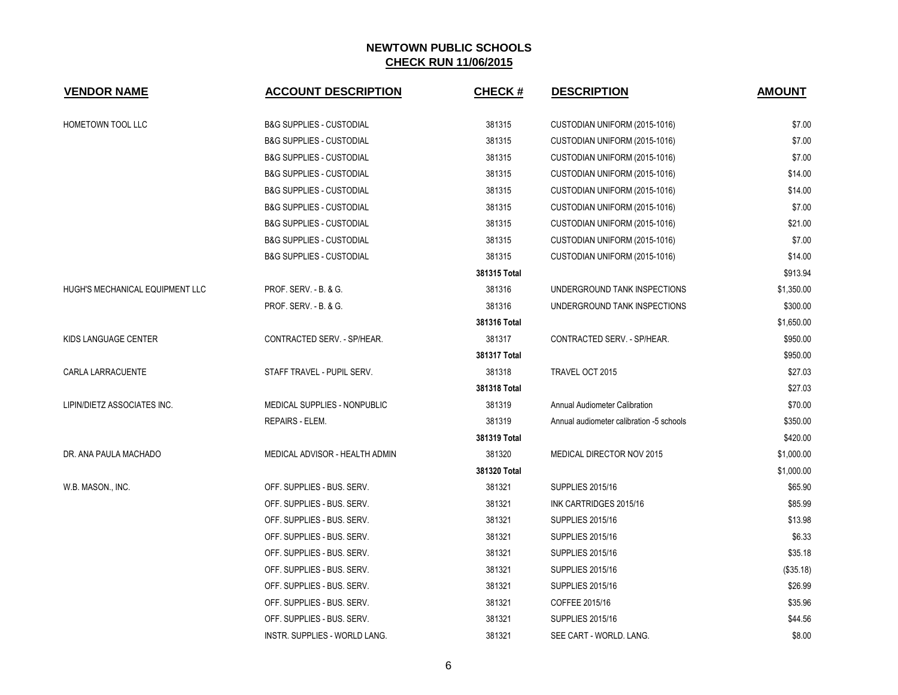| <b>VENDOR NAME</b>              | <b>ACCOUNT DESCRIPTION</b>          | <b>CHECK#</b> | <b>DESCRIPTION</b>                       | <b>AMOUNT</b> |
|---------------------------------|-------------------------------------|---------------|------------------------------------------|---------------|
| HOMETOWN TOOL LLC               | <b>B&amp;G SUPPLIES - CUSTODIAL</b> | 381315        | CUSTODIAN UNIFORM (2015-1016)            | \$7.00        |
|                                 | <b>B&amp;G SUPPLIES - CUSTODIAL</b> | 381315        | CUSTODIAN UNIFORM (2015-1016)            | \$7.00        |
|                                 | <b>B&amp;G SUPPLIES - CUSTODIAL</b> | 381315        | CUSTODIAN UNIFORM (2015-1016)            | \$7.00        |
|                                 | <b>B&amp;G SUPPLIES - CUSTODIAL</b> | 381315        | CUSTODIAN UNIFORM (2015-1016)            | \$14.00       |
|                                 | <b>B&amp;G SUPPLIES - CUSTODIAL</b> | 381315        | CUSTODIAN UNIFORM (2015-1016)            | \$14.00       |
|                                 | <b>B&amp;G SUPPLIES - CUSTODIAL</b> | 381315        | CUSTODIAN UNIFORM (2015-1016)            | \$7.00        |
|                                 | <b>B&amp;G SUPPLIES - CUSTODIAL</b> | 381315        | CUSTODIAN UNIFORM (2015-1016)            | \$21.00       |
|                                 | <b>B&amp;G SUPPLIES - CUSTODIAL</b> | 381315        | CUSTODIAN UNIFORM (2015-1016)            | \$7.00        |
|                                 | <b>B&amp;G SUPPLIES - CUSTODIAL</b> | 381315        | CUSTODIAN UNIFORM (2015-1016)            | \$14.00       |
|                                 |                                     | 381315 Total  |                                          | \$913.94      |
| HUGH'S MECHANICAL EQUIPMENT LLC | PROF. SERV. - B. & G.               | 381316        | UNDERGROUND TANK INSPECTIONS             | \$1,350.00    |
|                                 | PROF. SERV. - B. & G.               | 381316        | UNDERGROUND TANK INSPECTIONS             | \$300.00      |
|                                 |                                     | 381316 Total  |                                          | \$1,650.00    |
| KIDS LANGUAGE CENTER            | CONTRACTED SERV. - SP/HEAR.         | 381317        | CONTRACTED SERV. - SP/HEAR.              | \$950.00      |
|                                 |                                     | 381317 Total  |                                          | \$950.00      |
| CARLA LARRACUENTE               | STAFF TRAVEL - PUPIL SERV.          | 381318        | TRAVEL OCT 2015                          | \$27.03       |
|                                 |                                     | 381318 Total  |                                          | \$27.03       |
| LIPIN/DIETZ ASSOCIATES INC.     | MEDICAL SUPPLIES - NONPUBLIC        | 381319        | Annual Audiometer Calibration            | \$70.00       |
|                                 | REPAIRS - ELEM.                     | 381319        | Annual audiometer calibration -5 schools | \$350.00      |
|                                 |                                     | 381319 Total  |                                          | \$420.00      |
| DR. ANA PAULA MACHADO           | MEDICAL ADVISOR - HEALTH ADMIN      | 381320        | MEDICAL DIRECTOR NOV 2015                | \$1,000.00    |
|                                 |                                     | 381320 Total  |                                          | \$1,000.00    |
| W.B. MASON., INC.               | OFF. SUPPLIES - BUS. SERV.          | 381321        | <b>SUPPLIES 2015/16</b>                  | \$65.90       |
|                                 | OFF. SUPPLIES - BUS. SERV.          | 381321        | INK CARTRIDGES 2015/16                   | \$85.99       |
|                                 | OFF. SUPPLIES - BUS. SERV.          | 381321        | <b>SUPPLIES 2015/16</b>                  | \$13.98       |
|                                 | OFF. SUPPLIES - BUS. SERV.          | 381321        | <b>SUPPLIES 2015/16</b>                  | \$6.33        |
|                                 | OFF. SUPPLIES - BUS. SERV.          | 381321        | <b>SUPPLIES 2015/16</b>                  | \$35.18       |
|                                 | OFF. SUPPLIES - BUS. SERV.          | 381321        | <b>SUPPLIES 2015/16</b>                  | (\$35.18)     |
|                                 | OFF. SUPPLIES - BUS. SERV.          | 381321        | <b>SUPPLIES 2015/16</b>                  | \$26.99       |
|                                 | OFF. SUPPLIES - BUS. SERV.          | 381321        | COFFEE 2015/16                           | \$35.96       |
|                                 | OFF. SUPPLIES - BUS. SERV.          | 381321        | <b>SUPPLIES 2015/16</b>                  | \$44.56       |
|                                 | INSTR. SUPPLIES - WORLD LANG.       | 381321        | SEE CART - WORLD. LANG.                  | \$8.00        |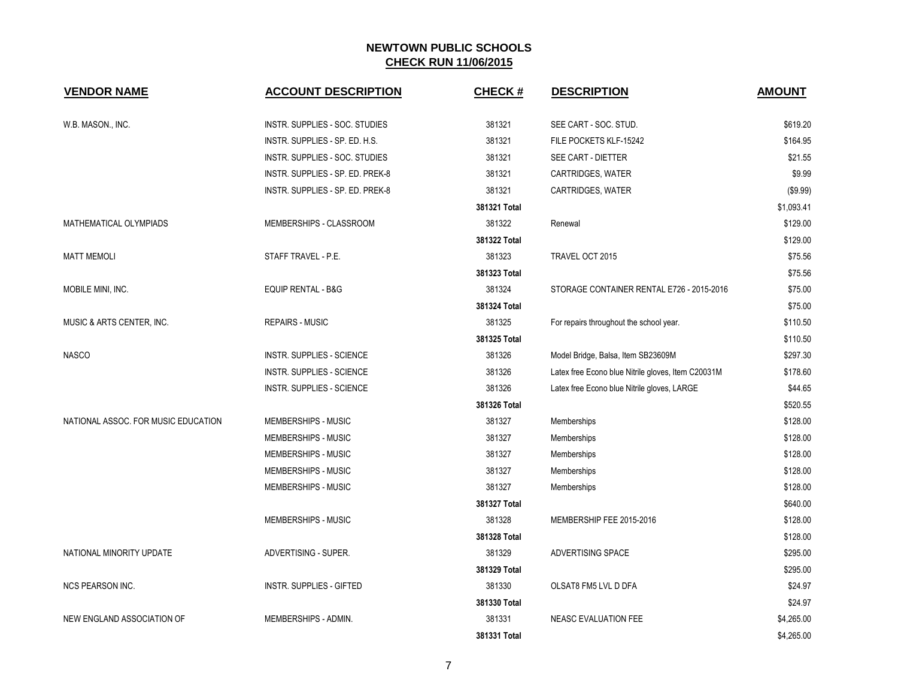| <b>VENDOR NAME</b>                  | <b>ACCOUNT DESCRIPTION</b>       | <b>CHECK#</b> | <b>DESCRIPTION</b>                                 | <b>AMOUNT</b> |
|-------------------------------------|----------------------------------|---------------|----------------------------------------------------|---------------|
| W.B. MASON., INC.                   | INSTR. SUPPLIES - SOC. STUDIES   | 381321        | SEE CART - SOC. STUD.                              | \$619.20      |
|                                     | INSTR. SUPPLIES - SP. ED. H.S.   | 381321        | FILE POCKETS KLF-15242                             | \$164.95      |
|                                     | INSTR. SUPPLIES - SOC. STUDIES   | 381321        | SEE CART - DIETTER                                 | \$21.55       |
|                                     | INSTR. SUPPLIES - SP. ED. PREK-8 | 381321        | CARTRIDGES, WATER                                  | \$9.99        |
|                                     | INSTR. SUPPLIES - SP. ED. PREK-8 | 381321        | CARTRIDGES, WATER                                  | (\$9.99)      |
|                                     |                                  | 381321 Total  |                                                    | \$1,093.41    |
| MATHEMATICAL OLYMPIADS              | MEMBERSHIPS - CLASSROOM          | 381322        | Renewal                                            | \$129.00      |
|                                     |                                  | 381322 Total  |                                                    | \$129.00      |
| <b>MATT MEMOLI</b>                  | STAFF TRAVEL - P.E.              | 381323        | TRAVEL OCT 2015                                    | \$75.56       |
|                                     |                                  | 381323 Total  |                                                    | \$75.56       |
| MOBILE MINI, INC.                   | <b>EQUIP RENTAL - B&amp;G</b>    | 381324        | STORAGE CONTAINER RENTAL E726 - 2015-2016          | \$75.00       |
|                                     |                                  | 381324 Total  |                                                    | \$75.00       |
| MUSIC & ARTS CENTER, INC.           | <b>REPAIRS - MUSIC</b>           | 381325        | For repairs throughout the school year.            | \$110.50      |
|                                     |                                  | 381325 Total  |                                                    | \$110.50      |
| <b>NASCO</b>                        | <b>INSTR. SUPPLIES - SCIENCE</b> | 381326        | Model Bridge, Balsa, Item SB23609M                 | \$297.30      |
|                                     | <b>INSTR. SUPPLIES - SCIENCE</b> | 381326        | Latex free Econo blue Nitrile gloves, Item C20031M | \$178.60      |
|                                     | <b>INSTR. SUPPLIES - SCIENCE</b> | 381326        | Latex free Econo blue Nitrile gloves, LARGE        | \$44.65       |
|                                     |                                  | 381326 Total  |                                                    | \$520.55      |
| NATIONAL ASSOC. FOR MUSIC EDUCATION | MEMBERSHIPS - MUSIC              | 381327        | Memberships                                        | \$128.00      |
|                                     | MEMBERSHIPS - MUSIC              | 381327        | Memberships                                        | \$128.00      |
|                                     | MEMBERSHIPS - MUSIC              | 381327        | Memberships                                        | \$128.00      |
|                                     | MEMBERSHIPS - MUSIC              | 381327        | Memberships                                        | \$128.00      |
|                                     | MEMBERSHIPS - MUSIC              | 381327        | Memberships                                        | \$128.00      |
|                                     |                                  | 381327 Total  |                                                    | \$640.00      |
|                                     | MEMBERSHIPS - MUSIC              | 381328        | MEMBERSHIP FEE 2015-2016                           | \$128.00      |
|                                     |                                  | 381328 Total  |                                                    | \$128.00      |
| NATIONAL MINORITY UPDATE            | ADVERTISING - SUPER.             | 381329        | ADVERTISING SPACE                                  | \$295.00      |
|                                     |                                  | 381329 Total  |                                                    | \$295.00      |
| <b>NCS PEARSON INC.</b>             | <b>INSTR. SUPPLIES - GIFTED</b>  | 381330        | OLSAT8 FM5 LVL D DFA                               | \$24.97       |
|                                     |                                  | 381330 Total  |                                                    | \$24.97       |
| NEW ENGLAND ASSOCIATION OF          | MEMBERSHIPS - ADMIN.             | 381331        | NEASC EVALUATION FEE                               | \$4,265.00    |
|                                     |                                  | 381331 Total  |                                                    | \$4,265.00    |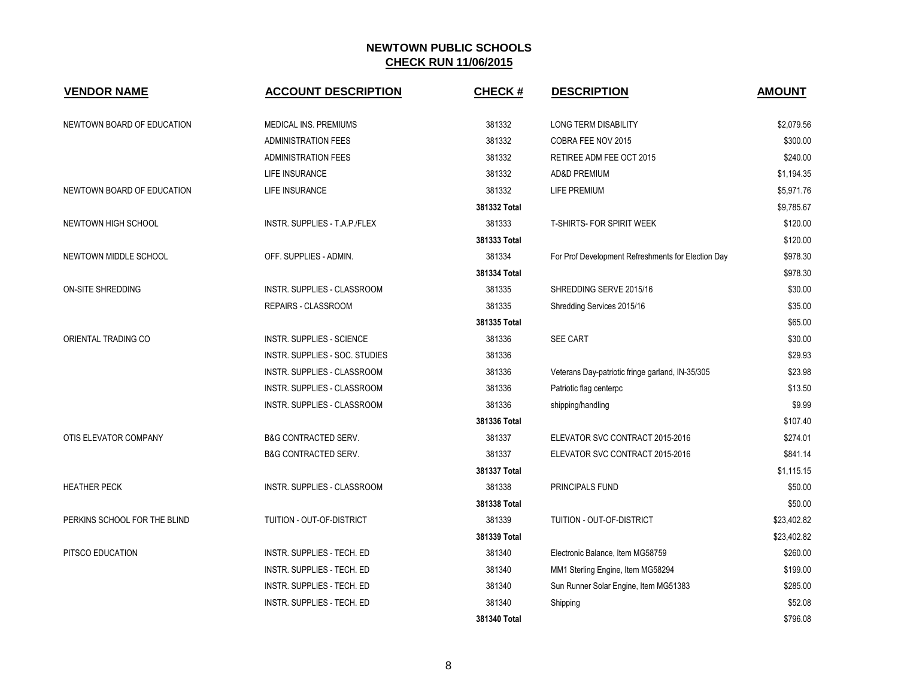| <b>VENDOR NAME</b>           | <b>ACCOUNT DESCRIPTION</b>      | <b>CHECK#</b> | <b>DESCRIPTION</b>                                 | <b>AMOUNT</b> |
|------------------------------|---------------------------------|---------------|----------------------------------------------------|---------------|
| NEWTOWN BOARD OF EDUCATION   | MEDICAL INS. PREMIUMS           | 381332        | <b>LONG TERM DISABILITY</b>                        | \$2,079.56    |
|                              | <b>ADMINISTRATION FEES</b>      | 381332        | COBRA FEE NOV 2015                                 | \$300.00      |
|                              | <b>ADMINISTRATION FEES</b>      | 381332        | RETIREE ADM FEE OCT 2015                           | \$240.00      |
|                              | LIFE INSURANCE                  | 381332        | AD&D PREMIUM                                       | \$1,194.35    |
| NEWTOWN BOARD OF EDUCATION   | LIFE INSURANCE                  | 381332        | LIFE PREMIUM                                       | \$5,971.76    |
|                              |                                 | 381332 Total  |                                                    | \$9,785.67    |
| NEWTOWN HIGH SCHOOL          | INSTR. SUPPLIES - T.A.P./FLEX   | 381333        | T-SHIRTS- FOR SPIRIT WEEK                          | \$120.00      |
|                              |                                 | 381333 Total  |                                                    | \$120.00      |
| NEWTOWN MIDDLE SCHOOL        | OFF. SUPPLIES - ADMIN.          | 381334        | For Prof Development Refreshments for Election Day | \$978.30      |
|                              |                                 | 381334 Total  |                                                    | \$978.30      |
| ON-SITE SHREDDING            | INSTR. SUPPLIES - CLASSROOM     | 381335        | SHREDDING SERVE 2015/16                            | \$30.00       |
|                              | REPAIRS - CLASSROOM             | 381335        | Shredding Services 2015/16                         | \$35.00       |
|                              |                                 | 381335 Total  |                                                    | \$65.00       |
| ORIENTAL TRADING CO          | INSTR. SUPPLIES - SCIENCE       | 381336        | <b>SEE CART</b>                                    | \$30.00       |
|                              | INSTR. SUPPLIES - SOC. STUDIES  | 381336        |                                                    | \$29.93       |
|                              | INSTR. SUPPLIES - CLASSROOM     | 381336        | Veterans Day-patriotic fringe garland, IN-35/305   | \$23.98       |
|                              | INSTR. SUPPLIES - CLASSROOM     | 381336        | Patriotic flag centerpc                            | \$13.50       |
|                              | INSTR. SUPPLIES - CLASSROOM     | 381336        | shipping/handling                                  | \$9.99        |
|                              |                                 | 381336 Total  |                                                    | \$107.40      |
| OTIS ELEVATOR COMPANY        | <b>B&amp;G CONTRACTED SERV.</b> | 381337        | ELEVATOR SVC CONTRACT 2015-2016                    | \$274.01      |
|                              | <b>B&amp;G CONTRACTED SERV.</b> | 381337        | ELEVATOR SVC CONTRACT 2015-2016                    | \$841.14      |
|                              |                                 | 381337 Total  |                                                    | \$1,115.15    |
| <b>HEATHER PECK</b>          | INSTR. SUPPLIES - CLASSROOM     | 381338        | <b>PRINCIPALS FUND</b>                             | \$50.00       |
|                              |                                 | 381338 Total  |                                                    | \$50.00       |
| PERKINS SCHOOL FOR THE BLIND | TUITION - OUT-OF-DISTRICT       | 381339        | TUITION - OUT-OF-DISTRICT                          | \$23,402.82   |
|                              |                                 | 381339 Total  |                                                    | \$23,402.82   |
| PITSCO EDUCATION             | INSTR. SUPPLIES - TECH. ED      | 381340        | Electronic Balance, Item MG58759                   | \$260.00      |
|                              | INSTR. SUPPLIES - TECH. ED      | 381340        | MM1 Sterling Engine, Item MG58294                  | \$199.00      |
|                              | INSTR. SUPPLIES - TECH. ED      | 381340        | Sun Runner Solar Engine, Item MG51383              | \$285.00      |
|                              | INSTR. SUPPLIES - TECH. ED      | 381340        | Shipping                                           | \$52.08       |
|                              |                                 | 381340 Total  |                                                    | \$796.08      |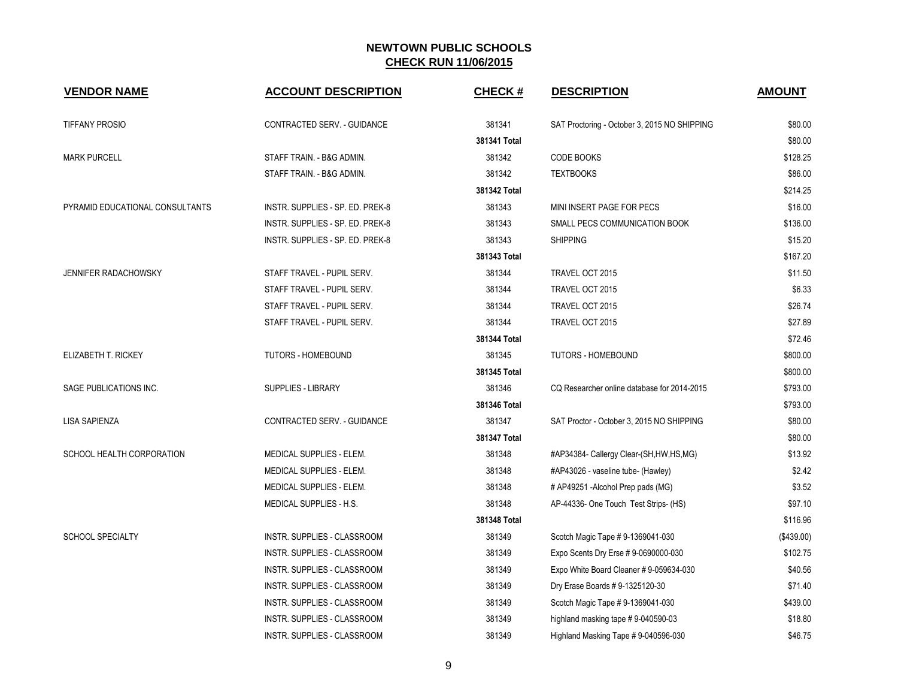| <b>VENDOR NAME</b>              | <b>ACCOUNT DESCRIPTION</b>         | <b>CHECK#</b> | <b>DESCRIPTION</b>                           | <b>AMOUNT</b> |
|---------------------------------|------------------------------------|---------------|----------------------------------------------|---------------|
| <b>TIFFANY PROSIO</b>           | CONTRACTED SERV. - GUIDANCE        | 381341        | SAT Proctoring - October 3, 2015 NO SHIPPING | \$80.00       |
|                                 |                                    | 381341 Total  |                                              | \$80.00       |
| <b>MARK PURCELL</b>             | STAFF TRAIN. - B&G ADMIN.          | 381342        | CODE BOOKS                                   | \$128.25      |
|                                 | STAFF TRAIN. - B&G ADMIN.          | 381342        | <b>TEXTBOOKS</b>                             | \$86.00       |
|                                 |                                    | 381342 Total  |                                              | \$214.25      |
| PYRAMID EDUCATIONAL CONSULTANTS | INSTR. SUPPLIES - SP. ED. PREK-8   | 381343        | MINI INSERT PAGE FOR PECS                    | \$16.00       |
|                                 | INSTR. SUPPLIES - SP. ED. PREK-8   | 381343        | SMALL PECS COMMUNICATION BOOK                | \$136.00      |
|                                 | INSTR. SUPPLIES - SP. ED. PREK-8   | 381343        | <b>SHIPPING</b>                              | \$15.20       |
|                                 |                                    | 381343 Total  |                                              | \$167.20      |
| JENNIFER RADACHOWSKY            | STAFF TRAVEL - PUPIL SERV.         | 381344        | TRAVEL OCT 2015                              | \$11.50       |
|                                 | STAFF TRAVEL - PUPIL SERV.         | 381344        | TRAVEL OCT 2015                              | \$6.33        |
|                                 | STAFF TRAVEL - PUPIL SERV.         | 381344        | TRAVEL OCT 2015                              | \$26.74       |
|                                 | STAFF TRAVEL - PUPIL SERV.         | 381344        | TRAVEL OCT 2015                              | \$27.89       |
|                                 |                                    | 381344 Total  |                                              | \$72.46       |
| ELIZABETH T. RICKEY             | <b>TUTORS - HOMEBOUND</b>          | 381345        | TUTORS - HOMEBOUND                           | \$800.00      |
|                                 |                                    | 381345 Total  |                                              | \$800.00      |
| SAGE PUBLICATIONS INC.          | <b>SUPPLIES - LIBRARY</b>          | 381346        | CQ Researcher online database for 2014-2015  | \$793.00      |
|                                 |                                    | 381346 Total  |                                              | \$793.00      |
| <b>LISA SAPIENZA</b>            | CONTRACTED SERV. - GUIDANCE        | 381347        | SAT Proctor - October 3, 2015 NO SHIPPING    | \$80.00       |
|                                 |                                    | 381347 Total  |                                              | \$80.00       |
| SCHOOL HEALTH CORPORATION       | MEDICAL SUPPLIES - ELEM.           | 381348        | #AP34384- Callergy Clear-(SH, HW, HS, MG)    | \$13.92       |
|                                 | MEDICAL SUPPLIES - ELEM.           | 381348        | #AP43026 - vaseline tube- (Hawley)           | \$2.42        |
|                                 | MEDICAL SUPPLIES - ELEM.           | 381348        | # AP49251 -Alcohol Prep pads (MG)            | \$3.52        |
|                                 | MEDICAL SUPPLIES - H.S.            | 381348        | AP-44336- One Touch Test Strips- (HS)        | \$97.10       |
|                                 |                                    | 381348 Total  |                                              | \$116.96      |
| <b>SCHOOL SPECIALTY</b>         | INSTR. SUPPLIES - CLASSROOM        | 381349        | Scotch Magic Tape #9-1369041-030             | (\$439.00)    |
|                                 | INSTR. SUPPLIES - CLASSROOM        | 381349        | Expo Scents Dry Erse # 9-0690000-030         | \$102.75      |
|                                 | INSTR. SUPPLIES - CLASSROOM        | 381349        | Expo White Board Cleaner # 9-059634-030      | \$40.56       |
|                                 | INSTR. SUPPLIES - CLASSROOM        | 381349        | Dry Erase Boards # 9-1325120-30              | \$71.40       |
|                                 | INSTR. SUPPLIES - CLASSROOM        | 381349        | Scotch Magic Tape # 9-1369041-030            | \$439.00      |
|                                 | INSTR. SUPPLIES - CLASSROOM        | 381349        | highland masking tape #9-040590-03           | \$18.80       |
|                                 | <b>INSTR. SUPPLIES - CLASSROOM</b> | 381349        | Highland Masking Tape # 9-040596-030         | \$46.75       |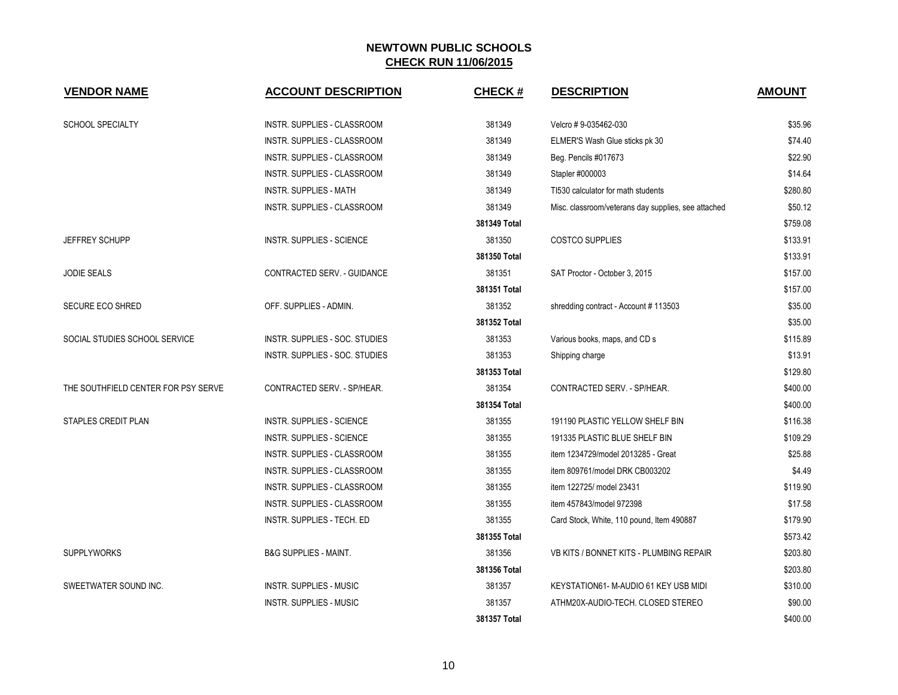| <b>VENDOR NAME</b>                  | <b>ACCOUNT DESCRIPTION</b>            | <b>CHECK#</b> | <b>DESCRIPTION</b>                                  | <b>AMOUNT</b> |
|-------------------------------------|---------------------------------------|---------------|-----------------------------------------------------|---------------|
| <b>SCHOOL SPECIALTY</b>             | INSTR. SUPPLIES - CLASSROOM           | 381349        | Velcro #9-035462-030                                | \$35.96       |
|                                     | INSTR. SUPPLIES - CLASSROOM           | 381349        | ELMER'S Wash Glue sticks pk 30                      | \$74.40       |
|                                     | INSTR. SUPPLIES - CLASSROOM           | 381349        | Beg. Pencils #017673                                | \$22.90       |
|                                     | <b>INSTR. SUPPLIES - CLASSROOM</b>    | 381349        | Stapler #000003                                     | \$14.64       |
|                                     | INSTR. SUPPLIES - MATH                | 381349        | TI530 calculator for math students                  | \$280.80      |
|                                     | INSTR. SUPPLIES - CLASSROOM           | 381349        | Misc. classroom/veterans day supplies, see attached | \$50.12       |
|                                     |                                       | 381349 Total  |                                                     | \$759.08      |
| JEFFREY SCHUPP                      | <b>INSTR. SUPPLIES - SCIENCE</b>      | 381350        | <b>COSTCO SUPPLIES</b>                              | \$133.91      |
|                                     |                                       | 381350 Total  |                                                     | \$133.91      |
| <b>JODIE SEALS</b>                  | CONTRACTED SERV. - GUIDANCE           | 381351        | SAT Proctor - October 3, 2015                       | \$157.00      |
|                                     |                                       | 381351 Total  |                                                     | \$157.00      |
| SECURE ECO SHRED                    | OFF. SUPPLIES - ADMIN.                | 381352        | shredding contract - Account #113503                | \$35.00       |
|                                     |                                       | 381352 Total  |                                                     | \$35.00       |
| SOCIAL STUDIES SCHOOL SERVICE       | INSTR. SUPPLIES - SOC. STUDIES        | 381353        | Various books, maps, and CD s                       | \$115.89      |
|                                     | <b>INSTR. SUPPLIES - SOC. STUDIES</b> | 381353        | Shipping charge                                     | \$13.91       |
|                                     |                                       | 381353 Total  |                                                     | \$129.80      |
| THE SOUTHFIELD CENTER FOR PSY SERVE | CONTRACTED SERV. - SP/HEAR.           | 381354        | CONTRACTED SERV. - SP/HEAR.                         | \$400.00      |
|                                     |                                       | 381354 Total  |                                                     | \$400.00      |
| STAPLES CREDIT PLAN                 | <b>INSTR. SUPPLIES - SCIENCE</b>      | 381355        | 191190 PLASTIC YELLOW SHELF BIN                     | \$116.38      |
|                                     | <b>INSTR. SUPPLIES - SCIENCE</b>      | 381355        | 191335 PLASTIC BLUE SHELF BIN                       | \$109.29      |
|                                     | INSTR. SUPPLIES - CLASSROOM           | 381355        | item 1234729/model 2013285 - Great                  | \$25.88       |
|                                     | INSTR. SUPPLIES - CLASSROOM           | 381355        | item 809761/model DRK CB003202                      | \$4.49        |
|                                     | INSTR. SUPPLIES - CLASSROOM           | 381355        | item 122725/ model 23431                            | \$119.90      |
|                                     | INSTR. SUPPLIES - CLASSROOM           | 381355        | item 457843/model 972398                            | \$17.58       |
|                                     | INSTR. SUPPLIES - TECH. ED            | 381355        | Card Stock, White, 110 pound, Item 490887           | \$179.90      |
|                                     |                                       | 381355 Total  |                                                     | \$573.42      |
| <b>SUPPLYWORKS</b>                  | <b>B&amp;G SUPPLIES - MAINT.</b>      | 381356        | VB KITS / BONNET KITS - PLUMBING REPAIR             | \$203.80      |
|                                     |                                       | 381356 Total  |                                                     | \$203.80      |
| SWEETWATER SOUND INC.               | <b>INSTR. SUPPLIES - MUSIC</b>        | 381357        | KEYSTATION61- M-AUDIO 61 KEY USB MIDI               | \$310.00      |
|                                     | INSTR. SUPPLIES - MUSIC               | 381357        | ATHM20X-AUDIO-TECH. CLOSED STEREO                   | \$90.00       |
|                                     |                                       | 381357 Total  |                                                     | \$400.00      |